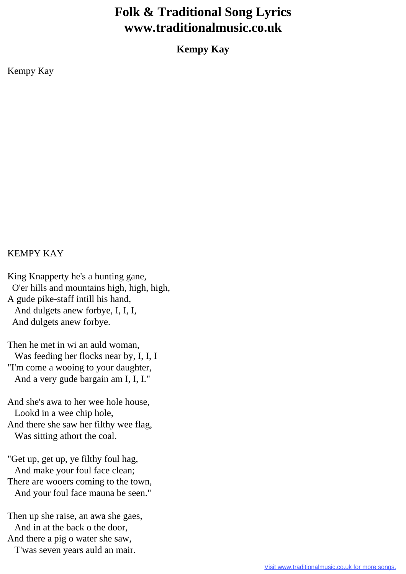## **Folk & Traditional Song Lyrics www.traditionalmusic.co.uk**

**Kempy Kay**

Kempy Kay

## KEMPY KAY

King Knapperty he's a hunting gane, O'er hills and mountains high, high, high, A gude pike-staff intill his hand, And dulgets anew forbye, I, I, I, And dulgets anew forbye.

Then he met in wi an auld woman, Was feeding her flocks near by, I, I, I "I'm come a wooing to your daughter, And a very gude bargain am I, I, I."

And she's awa to her wee hole house, Lookd in a wee chip hole, And there she saw her filthy wee flag, Was sitting athort the coal.

"Get up, get up, ye filthy foul hag, And make your foul face clean; There are wooers coming to the town, And your foul face mauna be seen."

Then up she raise, an awa she gaes, And in at the back o the door, And there a pig o water she saw, T'was seven years auld an mair.